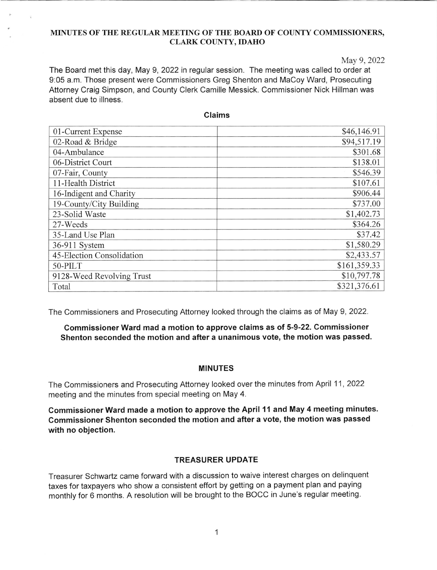### MINUTES OF THE REGULAR MEETING OF THE BOARD OF COUNTY COMMISSIONERS, CLARK COUNTY, IDAHO

May 9, 2022

The Board met this day, May 9, 2022 in regular session. The meeting was called to order at 9.05 a.m. Those present were Commissioners Greg Shenton and MaCoy Ward, Prosecuting Attorney Craig Simpson, and County Clerk Camille Messick. Commissioner Nick Hillman was absent due to illness.

| 01-Current Expense        | \$46,146.91  |
|---------------------------|--------------|
| 02-Road & Bridge          | \$94,517.19  |
| 04-Ambulance              | \$301.68     |
| 06-District Court         | \$138.01     |
| 07-Fair, County           | \$546.39     |
| 11-Health District        | \$107.61     |
| 16-Indigent and Charity   | \$906.44     |
| 19-County/City Building   | \$737.00     |
| 23-Solid Waste            | \$1,402.73   |
| 27-Weeds                  | \$364.26     |
| 35-Land Use Plan          | \$37.42      |
| 36-911 System             | \$1,580.29   |
| 45-Election Consolidation | \$2,433.57   |
| $50-PILT$                 | \$161,359.33 |
| 9128-Weed Revolving Trust | \$10,797.78  |
| Total                     | \$321,376.61 |

Claims

The Commissioners and Prosecuting Attorney looked through the claims as of May 9,2022.

# Commissioner Ward mad a motion to approve claims as of 5-9-22. Commissioner Shenton seconded the motion and after a unanimous vote, the motion was passed

#### MINUTES

The Commissioners and Prosecuting Attorney looked over the minutes from April 11,2022 meeting and the minutes from special meeting on May 4.

Commissioner Ward made a motion to approve the April 11 and May 4 meeting minutes. Commissioner Shenton seconded the motion and after a vote, the motion was passed with no objection.

# TREASURER UPDATE

Treasurer Schwartz came forward with a discussion to waive interest charges on delinquent taxes for taxpayers who show a consistent effort by getting on a payment plan and paying monthly for 6 months. A resolution will be brought to the BOCC in June's regular meeting.